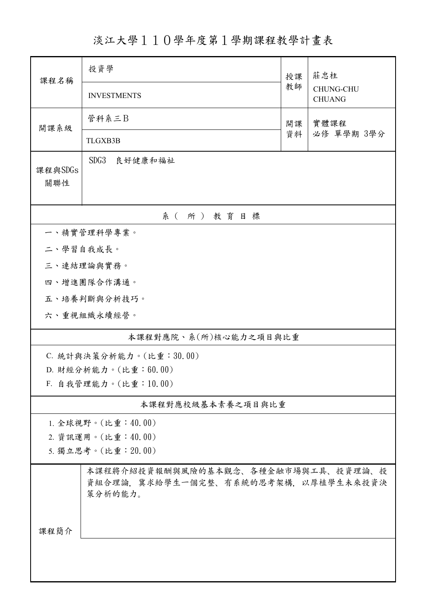淡江大學110學年度第1學期課程教學計畫表

| 課程名稱           | 投資學                                                                                   | 授課         | 莊忠柱<br><b>CHUNG-CHU</b><br><b>CHUANG</b> |  |  |  |  |
|----------------|---------------------------------------------------------------------------------------|------------|------------------------------------------|--|--|--|--|
|                | <b>INVESTMENTS</b>                                                                    | 教師         |                                          |  |  |  |  |
| 開課系級           | 管科系三B                                                                                 | 實體課程<br>開課 |                                          |  |  |  |  |
|                | TLGXB3B                                                                               | 資料         | 必修 單學期 3學分                               |  |  |  |  |
| 課程與SDGs<br>關聯性 | SDG3<br>良好健康和福祉                                                                       |            |                                          |  |  |  |  |
| 系(所)教育目標       |                                                                                       |            |                                          |  |  |  |  |
|                | 一、精實管理科學專業。                                                                           |            |                                          |  |  |  |  |
| 二、學習自我成長。      |                                                                                       |            |                                          |  |  |  |  |
|                | 三、連結理論與實務。                                                                            |            |                                          |  |  |  |  |
|                | 四、增進團隊合作溝通。                                                                           |            |                                          |  |  |  |  |
|                | 五、培養判斷與分析技巧。                                                                          |            |                                          |  |  |  |  |
|                | 六、重視組織永續經營。                                                                           |            |                                          |  |  |  |  |
|                | 本課程對應院、系(所)核心能力之項目與比重                                                                 |            |                                          |  |  |  |  |
|                | C. 統計與決策分析能力。(比重:30.00)                                                               |            |                                          |  |  |  |  |
|                | D. 財經分析能力。(比重:60.00)                                                                  |            |                                          |  |  |  |  |
|                | F. 自我管理能力。(比重:10.00)                                                                  |            |                                          |  |  |  |  |
|                | 本課程對應校級基本素養之項目與比重                                                                     |            |                                          |  |  |  |  |
|                | 1. 全球視野。(比重:40.00)                                                                    |            |                                          |  |  |  |  |
|                | 2. 資訊運用。(比重:40.00)                                                                    |            |                                          |  |  |  |  |
|                | 5. 獨立思考。(比重: 20.00)                                                                   |            |                                          |  |  |  |  |
|                | 本課程將介紹投資報酬與風險的基本觀念、各種金融市場與工具、投資理論、投<br>資組合理論,冀求給學生一個完整、有系統的思考架構,以厚植學生未來投資決<br>策分析的能力。 |            |                                          |  |  |  |  |
| 課程簡介           |                                                                                       |            |                                          |  |  |  |  |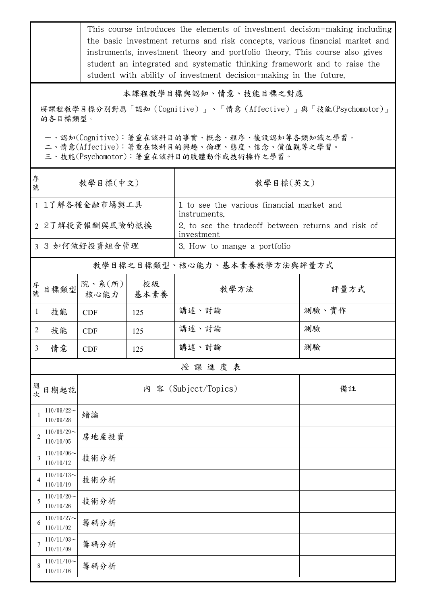This course introduces the elements of investment decision-making including the basic investment returns and risk concepts, various financial market and instruments, investment theory and portfolio theory. This course also gives student an integrated and systematic thinking framework and to raise the student with ability of investment decision-making in the future.

## 本課程教學目標與認知、情意、技能目標之對應

將課程教學目標分別對應「認知(Cognitive)」、「情意(Affective)」與「技能(Psychomotor)」 的各目標類型。

一、認知(Cognitive):著重在該科目的事實、概念、程序、後設認知等各類知識之學習。

二、情意(Affective):著重在該科目的興趣、倫理、態度、信念、價值觀等之學習。

三、技能(Psychomotor):著重在該科目的肢體動作或技術操作之學習。

| 序<br>號         | 教學目標(中文)                      |                |            | 教學目標(英文)                                                         |       |  |
|----------------|-------------------------------|----------------|------------|------------------------------------------------------------------|-------|--|
|                | 1 1了解各種金融市場與工具                |                |            | 1 to see the various financial market and<br>instruments.        |       |  |
|                | 2 2了解投資報酬與風險的抵換               |                |            | 2, to see the tradeoff between returns and risk of<br>investment |       |  |
|                | 3 3 如何做好投資組合管理                |                |            | 3. How to mange a portfolio                                      |       |  |
|                |                               |                |            | 教學目標之目標類型、核心能力、基本素養教學方法與評量方式                                     |       |  |
| 序號             | 目標類型                          | 院、系(所)<br>核心能力 | 校級<br>基本素養 | 教學方法                                                             | 評量方式  |  |
| $\mathbf{1}$   | 技能                            | <b>CDF</b>     | 125        | 講述、討論                                                            | 測驗、實作 |  |
| 2              | 技能                            | <b>CDF</b>     | 125        | 講述、討論                                                            | 測驗    |  |
| 3              | 情意                            | <b>CDF</b>     | 125        | 講述、討論                                                            | 測驗    |  |
|                |                               |                |            | 授課進度表                                                            |       |  |
| 週次             | 日期起訖                          |                |            | 內 容 (Subject/Topics)                                             | 備註    |  |
| $\overline{1}$ | $110/09/22$ ~<br>110/09/28    | 緒論             |            |                                                                  |       |  |
| $\overline{2}$ | $110/09/29$ ~<br>110/10/05    | 房地產投資          |            |                                                                  |       |  |
| 3              | $110/10/06 \sim$<br>110/10/12 | 技術分析           |            |                                                                  |       |  |
| 4              | $110/10/13$ ~<br>110/10/19    | 技術分析           |            |                                                                  |       |  |
| 5              | $110/10/20$ ~<br>110/10/26    | 技術分析           |            |                                                                  |       |  |
| 6              | $110/10/27$ ~<br>110/11/02    | 籌碼分析           |            |                                                                  |       |  |
| 7              | $110/11/03$ ~<br>110/11/09    | 籌碼分析           |            |                                                                  |       |  |
| 8              | $110/11/10$ ~<br>110/11/16    | 籌碼分析           |            |                                                                  |       |  |